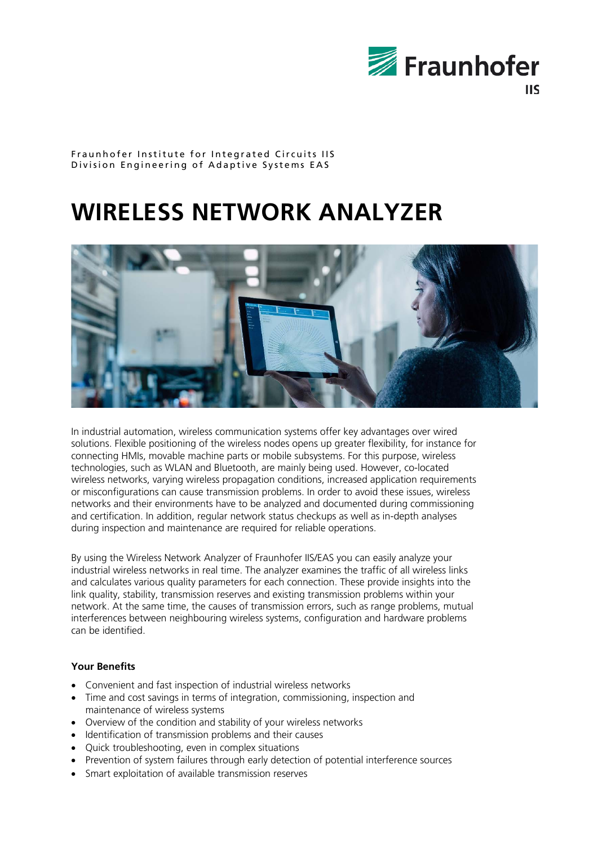

#### Fraunhofer Institute for Integrated Circuits IIS Division Engineering of Adaptive Systems EAS

# **WIRELESS NETWORK ANALYZER**



In industrial automation, wireless communication systems offer key advantages over wired solutions. Flexible positioning of the wireless nodes opens up greater flexibility, for instance for connecting HMIs, movable machine parts or mobile subsystems. For this purpose, wireless technologies, such as WLAN and Bluetooth, are mainly being used. However, co-located wireless networks, varying wireless propagation conditions, increased application requirements or misconfigurations can cause transmission problems. In order to avoid these issues, wireless networks and their environments have to be analyzed and documented during commissioning and certification. In addition, regular network status checkups as well as in-depth analyses during inspection and maintenance are required for reliable operations.

By using the Wireless Network Analyzer of Fraunhofer IIS/EAS you can easily analyze your industrial wireless networks in real time. The analyzer examines the traffic of all wireless links and calculates various quality parameters for each connection. These provide insights into the link quality, stability, transmission reserves and existing transmission problems within your network. At the same time, the causes of transmission errors, such as range problems, mutual interferences between neighbouring wireless systems, configuration and hardware problems can be identified.

## **Your Benefits**

- Convenient and fast inspection of industrial wireless networks
- Time and cost savings in terms of integration, commissioning, inspection and maintenance of wireless systems
- Overview of the condition and stability of your wireless networks
- Identification of transmission problems and their causes
- Quick troubleshooting, even in complex situations
- Prevention of system failures through early detection of potential interference sources
- Smart exploitation of available transmission reserves